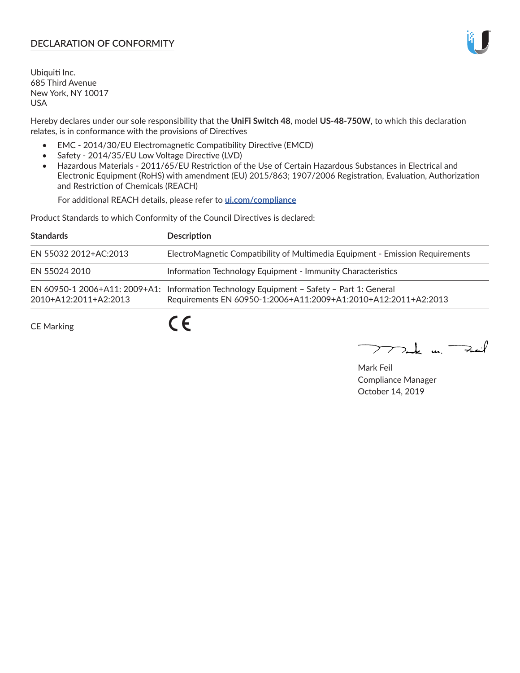# **DECLARATION OF CONFORMITY**

Ubiquiti Inc. 685 Third Avenue New York, NY 10017 USA

Hereby declares under our sole responsibility that the **UniFi Switch 48**, model **US-48-750W**, to which this declaration relates, is in conformance with the provisions of Directives

- EMC 2014/30/EU Electromagnetic Compatibility Directive (EMCD)
- Safety 2014/35/EU Low Voltage Directive (LVD)
- Hazardous Materials 2011/65/EU Restriction of the Use of Certain Hazardous Substances in Electrical and Electronic Equipment (RoHS) with amendment (EU) 2015/863; 1907/2006 Registration, Evaluation, Authorization and Restriction of Chemicals (REACH)

For additional REACH details, please refer to **[ui.com/compliance](https://dl.ui.com/compliance/REACH_Compliance_Declaration.pdf)**

Product Standards to which Conformity of the Council Directives is declared:

| <b>Standards</b>      | <b>Description</b>                                                                                                                                          |
|-----------------------|-------------------------------------------------------------------------------------------------------------------------------------------------------------|
| EN 55032 2012+AC:2013 | ElectroMagnetic Compatibility of Multimedia Equipment - Emission Requirements                                                                               |
| EN 55024 2010         | Information Technology Equipment - Immunity Characteristics                                                                                                 |
| 2010+A12:2011+A2:2013 | EN 60950-1 2006+A11: 2009+A1: Information Technology Equipment - Safety - Part 1: General<br>Requirements EN 60950-1:2006+A11:2009+A1:2010+A12:2011+A2:2013 |
| <b>CE Marking</b>     |                                                                                                                                                             |

Mak m. Fuil

Mark Feil Compliance Manager October 14, 2019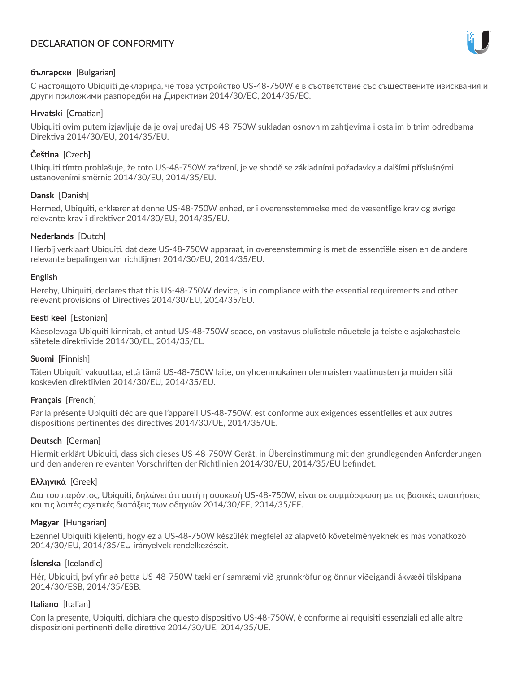# **DECLARATION OF CONFORMITY**



## **български** [Bulgarian]

С настоящото Ubiquiti декларира, че това устройство US-48-750W е в съответствие със съществените изисквания и други приложими разпоредби на Директиви 2014/30/ЕС, 2014/35/ЕС.

## **Hrvatski** [Croatian]

Ubiquiti ovim putem izjavljuje da je ovaj uređaj US-48-750W sukladan osnovnim zahtjevima i ostalim bitnim odredbama Direktiva 2014/30/EU, 2014/35/EU.

# **Čeština** [Czech]

Ubiquiti tímto prohlašuje, že toto US-48-750W zařízení, je ve shodě se základními požadavky a dalšími příslušnými ustanoveními směrnic 2014/30/EU, 2014/35/EU.

## **Dansk** [Danish]

Hermed, Ubiquiti, erklærer at denne US-48-750W enhed, er i overensstemmelse med de væsentlige krav og øvrige relevante krav i direktiver 2014/30/EU, 2014/35/EU.

## **Nederlands** [Dutch]

Hierbij verklaart Ubiquiti, dat deze US-48-750W apparaat, in overeenstemming is met de essentiële eisen en de andere relevante bepalingen van richtlijnen 2014/30/EU, 2014/35/EU.

## **English**

Hereby, Ubiquiti, declares that this US-48-750W device, is in compliance with the essential requirements and other relevant provisions of Directives 2014/30/EU, 2014/35/EU.

## **Eesti keel** [Estonian]

Käesolevaga Ubiquiti kinnitab, et antud US-48-750W seade, on vastavus olulistele nõuetele ja teistele asjakohastele sätetele direktiivide 2014/30/EL, 2014/35/EL.

## **Suomi** [Finnish]

Täten Ubiquiti vakuuttaa, että tämä US-48-750W laite, on yhdenmukainen olennaisten vaatimusten ja muiden sitä koskevien direktiivien 2014/30/EU, 2014/35/EU.

## **Français** [French]

Par la présente Ubiquiti déclare que l'appareil US-48-750W, est conforme aux exigences essentielles et aux autres dispositions pertinentes des directives 2014/30/UE, 2014/35/UE.

# **Deutsch** [German]

Hiermit erklärt Ubiquiti, dass sich dieses US-48-750W Gerät, in Übereinstimmung mit den grundlegenden Anforderungen und den anderen relevanten Vorschriften der Richtlinien 2014/30/EU, 2014/35/EU befindet.

## **Ελληνικά** [Greek]

Δια του παρόντος, Ubiquiti, δηλώνει ότι αυτή η συσκευή US-48-750W, είναι σε συμμόρφωση με τις βασικές απαιτήσεις και τις λοιπές σχετικές διατάξεις των οδηγιών 2014/30/EE, 2014/35/EE.

## **Magyar** [Hungarian]

Ezennel Ubiquiti kijelenti, hogy ez a US-48-750W készülék megfelel az alapvető követelményeknek és más vonatkozó 2014/30/EU, 2014/35/EU irányelvek rendelkezéseit.

## **Íslenska** [Icelandic]

Hér, Ubiquiti, því yfir að þetta US-48-750W tæki er í samræmi við grunnkröfur og önnur viðeigandi ákvæði tilskipana 2014/30/ESB, 2014/35/ESB.

## **Italiano** [Italian]

Con la presente, Ubiquiti, dichiara che questo dispositivo US-48-750W, è conforme ai requisiti essenziali ed alle altre disposizioni pertinenti delle direttive 2014/30/UE, 2014/35/UE.